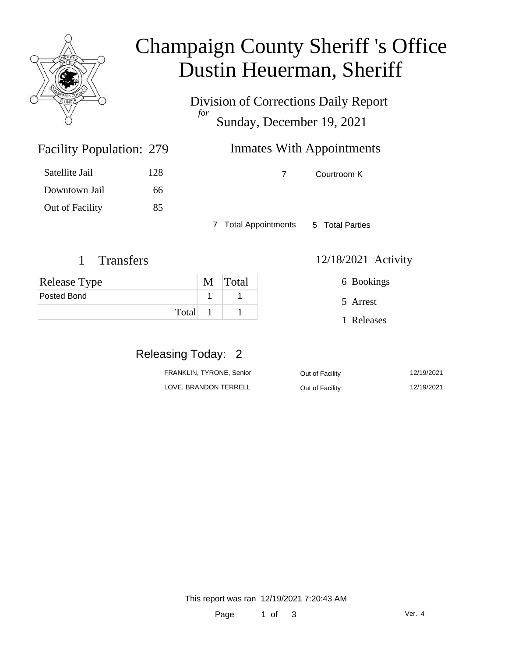

### Champaign County Sheriff 's Office Dustin Heuerman, Sheriff

Division of Corrections Daily Report *for* Sunday, December 19, 2021

### Inmates With Appointments

7 Courtroom K

7 Total Appointments 5 Total Parties

#### 1 Transfers 12/18/2021 Activity

Facility Population: 279

Satellite Jail 128

Downtown Jail 66

Out of Facility 85

| <b>Release Type</b> | M Total |
|---------------------|---------|
| <b>Posted Bond</b>  |         |
| Total               |         |

6 Bookings

5 Arrest

1 Releases

### Releasing Today: 2

| FRANKLIN, TYRONE, Senior | Out of Facility | 12/19/2021 |
|--------------------------|-----------------|------------|
| LOVE, BRANDON TERRELL    | Out of Facility | 12/19/2021 |

This report was ran 12/19/2021 7:20:43 AM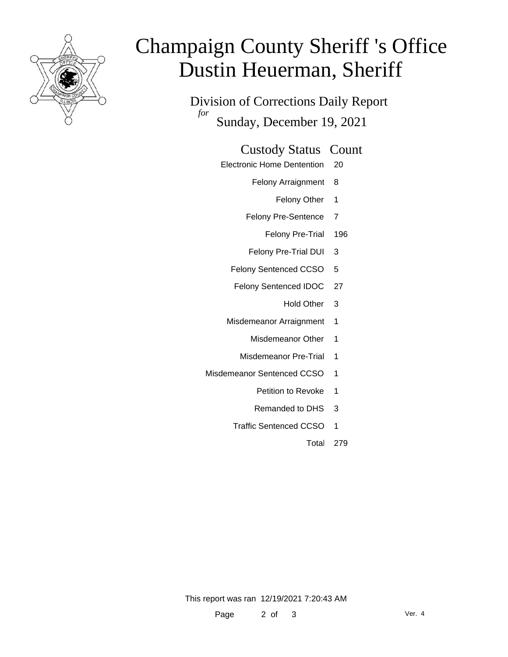

# Champaign County Sheriff 's Office Dustin Heuerman, Sheriff

Division of Corrections Daily Report *for* Sunday, December 19, 2021

#### Custody Status Count

- Electronic Home Dentention 20
	- Felony Arraignment 8
		- Felony Other 1
	- Felony Pre-Sentence 7
		- Felony Pre-Trial 196
	- Felony Pre-Trial DUI 3
	- Felony Sentenced CCSO 5
	- Felony Sentenced IDOC 27
		- Hold Other 3
	- Misdemeanor Arraignment 1
		- Misdemeanor Other 1
		- Misdemeanor Pre-Trial 1
- Misdemeanor Sentenced CCSO 1
	- Petition to Revoke 1
	- Remanded to DHS 3
	- Traffic Sentenced CCSO 1
		- Total 279

This report was ran 12/19/2021 7:20:43 AM